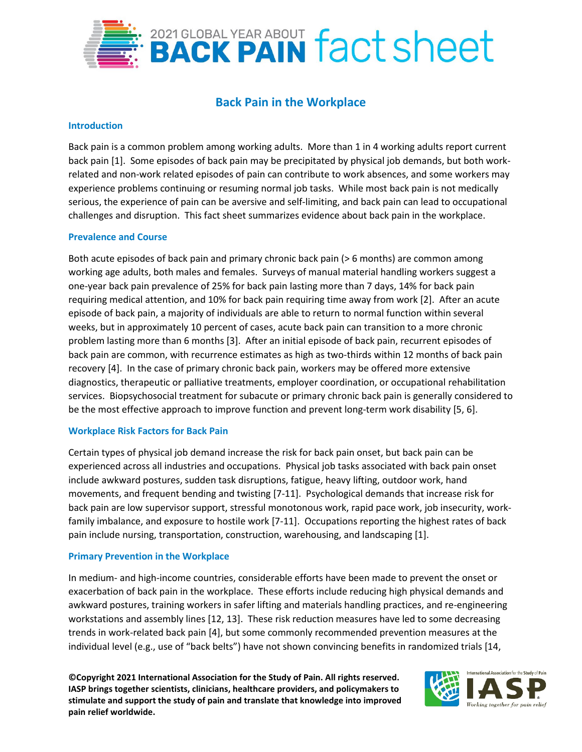

# **Back Pain in the Workplace**

### **Introduction**

Back pain is a common problem among working adults. More than 1 in 4 working adults report current back pain [1]. Some episodes of back pain may be precipitated by physical job demands, but both workrelated and non-work related episodes of pain can contribute to work absences, and some workers may experience problems continuing or resuming normal job tasks. While most back pain is not medically serious, the experience of pain can be aversive and self-limiting, and back pain can lead to occupational challenges and disruption. This fact sheet summarizes evidence about back pain in the workplace.

### **Prevalence and Course**

Both acute episodes of back pain and primary chronic back pain (> 6 months) are common among working age adults, both males and females. Surveys of manual material handling workers suggest a one-year back pain prevalence of 25% for back pain lasting more than 7 days, 14% for back pain requiring medical attention, and 10% for back pain requiring time away from work [2]. After an acute episode of back pain, a majority of individuals are able to return to normal function within several weeks, but in approximately 10 percent of cases, acute back pain can transition to a more chronic problem lasting more than 6 months [3]. After an initial episode of back pain, recurrent episodes of back pain are common, with recurrence estimates as high as two-thirds within 12 months of back pain recovery [4]. In the case of primary chronic back pain, workers may be offered more extensive diagnostics, therapeutic or palliative treatments, employer coordination, or occupational rehabilitation services. Biopsychosocial treatment for subacute or primary chronic back pain is generally considered to be the most effective approach to improve function and prevent long-term work disability [5, 6].

### **Workplace Risk Factors for Back Pain**

Certain types of physical job demand increase the risk for back pain onset, but back pain can be experienced across all industries and occupations. Physical job tasks associated with back pain onset include awkward postures, sudden task disruptions, fatigue, heavy lifting, outdoor work, hand movements, and frequent bending and twisting [7-11]. Psychological demands that increase risk for back pain are low supervisor support, stressful monotonous work, rapid pace work, job insecurity, workfamily imbalance, and exposure to hostile work [7-11]. Occupations reporting the highest rates of back pain include nursing, transportation, construction, warehousing, and landscaping [1].

### **Primary Prevention in the Workplace**

In medium- and high-income countries, considerable efforts have been made to prevent the onset or exacerbation of back pain in the workplace. These efforts include reducing high physical demands and awkward postures, training workers in safer lifting and materials handling practices, and re-engineering workstations and assembly lines [12, 13]. These risk reduction measures have led to some decreasing trends in work-related back pain [4], but some commonly recommended prevention measures at the individual level (e.g., use of "back belts") have not shown convincing benefits in randomized trials [14,

**©Copyright 2021 International Association for the Study of Pain. All rights reserved. IASP brings together scientists, clinicians, healthcare providers, and policymakers to stimulate and support the study of pain and translate that knowledge into improved pain relief worldwide.**

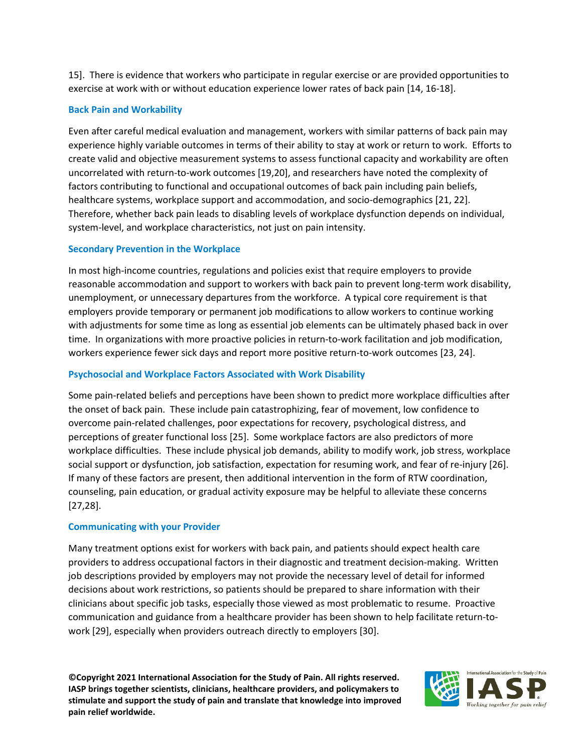15]. There is evidence that workers who participate in regular exercise or are provided opportunities to exercise at work with or without education experience lower rates of back pain [14, 16-18].

# **Back Pain and Workability**

Even after careful medical evaluation and management, workers with similar patterns of back pain may experience highly variable outcomes in terms of their ability to stay at work or return to work. Efforts to create valid and objective measurement systems to assess functional capacity and workability are often uncorrelated with return-to-work outcomes [19,20], and researchers have noted the complexity of factors contributing to functional and occupational outcomes of back pain including pain beliefs, healthcare systems, workplace support and accommodation, and socio-demographics [21, 22]. Therefore, whether back pain leads to disabling levels of workplace dysfunction depends on individual, system-level, and workplace characteristics, not just on pain intensity.

# **Secondary Prevention in the Workplace**

In most high-income countries, regulations and policies exist that require employers to provide reasonable accommodation and support to workers with back pain to prevent long-term work disability, unemployment, or unnecessary departures from the workforce. A typical core requirement is that employers provide temporary or permanent job modifications to allow workers to continue working with adjustments for some time as long as essential job elements can be ultimately phased back in over time. In organizations with more proactive policies in return-to-work facilitation and job modification, workers experience fewer sick days and report more positive return-to-work outcomes [23, 24].

# **Psychosocial and Workplace Factors Associated with Work Disability**

Some pain-related beliefs and perceptions have been shown to predict more workplace difficulties after the onset of back pain. These include pain catastrophizing, fear of movement, low confidence to overcome pain-related challenges, poor expectations for recovery, psychological distress, and perceptions of greater functional loss [25]. Some workplace factors are also predictors of more workplace difficulties. These include physical job demands, ability to modify work, job stress, workplace social support or dysfunction, job satisfaction, expectation for resuming work, and fear of re-injury [26]. If many of these factors are present, then additional intervention in the form of RTW coordination, counseling, pain education, or gradual activity exposure may be helpful to alleviate these concerns [27,28].

### **Communicating with your Provider**

Many treatment options exist for workers with back pain, and patients should expect health care providers to address occupational factors in their diagnostic and treatment decision-making. Written job descriptions provided by employers may not provide the necessary level of detail for informed decisions about work restrictions, so patients should be prepared to share information with their clinicians about specific job tasks, especially those viewed as most problematic to resume. Proactive communication and guidance from a healthcare provider has been shown to help facilitate return-towork [29], especially when providers outreach directly to employers [30].

**©Copyright 2021 International Association for the Study of Pain. All rights reserved. IASP brings together scientists, clinicians, healthcare providers, and policymakers to stimulate and support the study of pain and translate that knowledge into improved pain relief worldwide.**

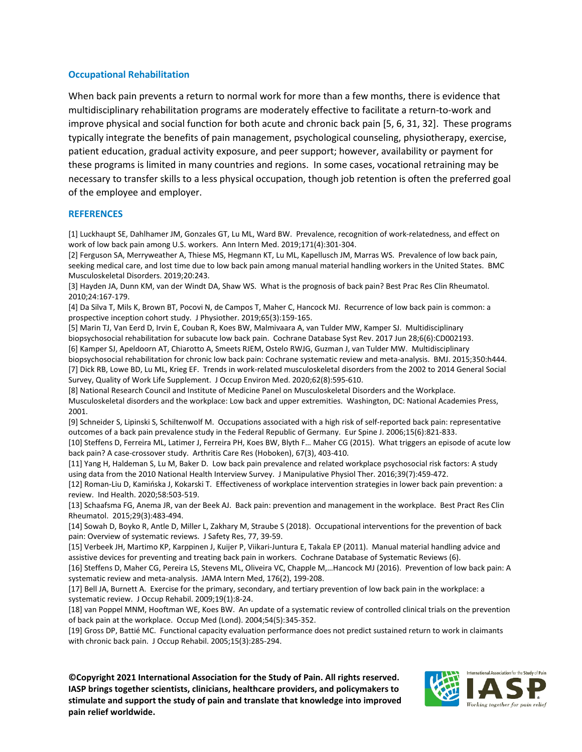### **Occupational Rehabilitation**

When back pain prevents a return to normal work for more than a few months, there is evidence that multidisciplinary rehabilitation programs are moderately effective to facilitate a return-to-work and improve physical and social function for both acute and chronic back pain [5, 6, 31, 32]. These programs typically integrate the benefits of pain management, psychological counseling, physiotherapy, exercise, patient education, gradual activity exposure, and peer support; however, availability or payment for these programs is limited in many countries and regions. In some cases, vocational retraining may be necessary to transfer skills to a less physical occupation, though job retention is often the preferred goal of the employee and employer.

### **REFERENCES**

[1] Luckhaupt SE, Dahlhamer JM, Gonzales GT, Lu ML, Ward BW. Prevalence, recognition of work-relatedness, and effect on work of low back pain among U.S. workers. Ann Intern Med. 2019;171(4):301-304.

[2] Ferguson SA, Merryweather A, Thiese MS, Hegmann KT, Lu ML, Kapellusch JM, Marras WS. Prevalence of low back pain, seeking medical care, and lost time due to low back pain among manual material handling workers in the United States. BMC Musculoskeletal Disorders. 2019;20:243.

[3] Hayden JA, Dunn KM, van der Windt DA, Shaw WS. What is the prognosis of back pain? Best Prac Res Clin Rheumatol. 2010;24:167-179.

[4] Da Silva T, Mils K, Brown BT, Pocovi N, de Campos T, Maher C, Hancock MJ. Recurrence of low back pain is common: a prospective inception cohort study. J Physiother. 2019;65(3):159-165.

[5] Marin TJ, Van Eerd D, Irvin E, Couban R, Koes BW, Malmivaara A, van Tulder MW, Kamper SJ. Multidisciplinary biopsychosocial rehabilitation for subacute low back pain. Cochrane Database Syst Rev. 2017 Jun 28;6(6):CD002193. [6] Kamper SJ, Apeldoorn AT, Chiarotto A, Smeets RJEM, Ostelo RWJG, Guzman J, van Tulder MW. Multidisciplinary

biopsychosocial rehabilitation for chronic low back pain: Cochrane systematic review and meta-analysis. BMJ. 2015;350:h444. [7] Dick RB, Lowe BD, Lu ML, Krieg EF. Trends in work-related musculoskeletal disorders from the 2002 to 2014 General Social Survey, Quality of Work Life Supplement. J Occup Environ Med. 2020;62(8):595-610.

[8] National Research Council and Institute of Medicine Panel on Musculoskeletal Disorders and the Workplace. Musculoskeletal disorders and the workplace: Low back and upper extremities. Washington, DC: National Academies Press, 2001.

[9] Schneider S, Lipinski S, Schiltenwolf M. Occupations associated with a high risk of self-reported back pain: representative outcomes of a back pain prevalence study in the Federal Republic of Germany. Eur Spine J. 2006;15(6):821-833.

[10] Steffens D, Ferreira ML, Latimer J, Ferreira PH, Koes BW, Blyth F… Maher CG (2015). What triggers an episode of acute low back pain? A case-crossover study. Arthritis Care Res (Hoboken), 67(3), 403-410.

[11] Yang H, Haldeman S, Lu M, Baker D. Low back pain prevalence and related workplace psychosocial risk factors: A study using data from the 2010 National Health Interview Survey. J Manipulative Physiol Ther. 2016;39(7):459-472.

[12] Roman-Liu D, Kamińska J, Kokarski T. Effectiveness of workplace intervention strategies in lower back pain prevention: a review. Ind Health. 2020;58:503-519.

[13] Schaafsma FG, Anema JR, van der Beek AJ. Back pain: prevention and management in the workplace. Best Pract Res Clin Rheumatol. 2015;29(3):483-494.

[14] Sowah D, Boyko R, Antle D, Miller L, Zakhary M, Straube S (2018). Occupational interventions for the prevention of back pain: Overview of systematic reviews. J Safety Res, 77, 39-59.

[15] Verbeek JH, Martimo KP, Karppinen J, Kuijer P, Viikari-Juntura E, Takala EP (2011). Manual material handling advice and assistive devices for preventing and treating back pain in workers. Cochrane Database of Systematic Reviews (6).

[16] Steffens D, Maher CG, Pereira LS, Stevens ML, Oliveira VC, Chapple M,…Hancock MJ (2016). Prevention of low back pain: A systematic review and meta-analysis. JAMA Intern Med, 176(2), 199-208.

[17] Bell JA, Burnett A. Exercise for the primary, secondary, and tertiary prevention of low back pain in the workplace: a systematic review. J Occup Rehabil. 2009;19(1):8-24.

[18] van Poppel MNM, Hooftman WE, Koes BW. An update of a systematic review of controlled clinical trials on the prevention of back pain at the workplace. Occup Med (Lond). 2004;54(5):345-352.

[19] Gross DP, Battié MC. Functional capacity evaluation performance does not predict sustained return to work in claimants with chronic back pain. J Occup Rehabil. 2005;15(3):285-294.

**©Copyright 2021 International Association for the Study of Pain. All rights reserved. IASP brings together scientists, clinicians, healthcare providers, and policymakers to stimulate and support the study of pain and translate that knowledge into improved pain relief worldwide.**